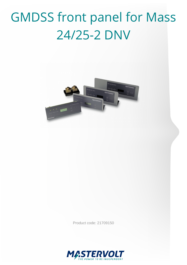## GMDSS front panel for Mass 24/25-2 DNV



Product code: 21709150

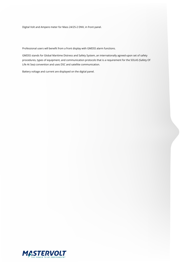Digital Volt and Ampere meter for Mass 24/25-2 DNV, in front panel.

Professional users will benefit from a front display with GMDSS alarm functions.

GMDSS stands for Global Maritime Distress and Safety System, an internationally agreed-upon set of safety procedures, types of equipment, and communication protocols that is a requirement for the SOLAS (Safety Of Life At Sea) convention and uses DSC and satellite communication.

Battery voltage and current are displayed on the digital panel.